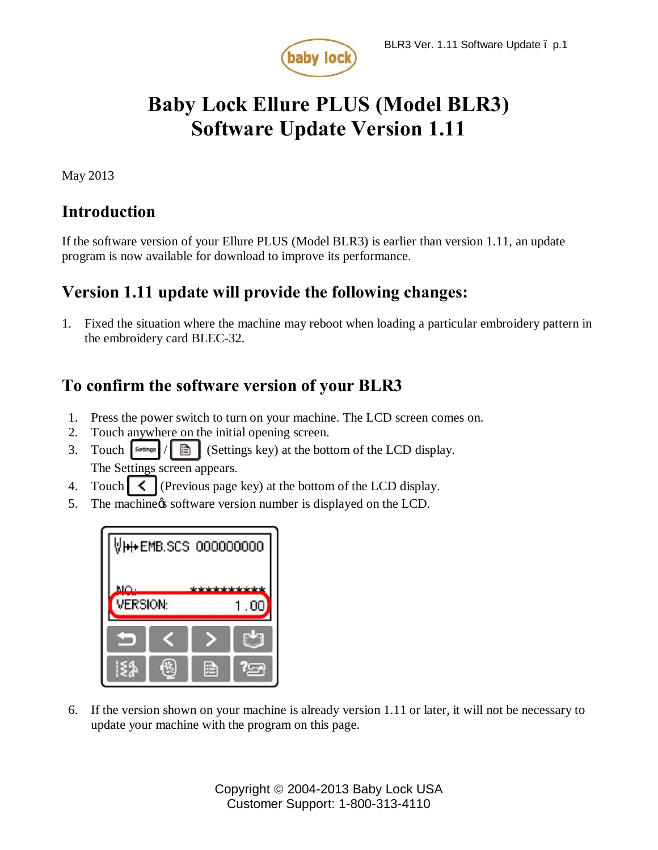

# **Baby Lock Ellure PLUS (Model BLR3) Software Update Version 1.11**

May 2013

## **Introduction**

If the software version of your Ellure PLUS (Model BLR3) is earlier than version 1.11, an update program is now available for download to improve its performance.

# **Version 1.11 update will provide the following changes:**

1. Fixed the situation where the machine may reboot when loading a particular embroidery pattern in the embroidery card BLEC-32.

# **To confirm the software version of your BLR3**

- 1. Press the power switch to turn on your machine. The LCD screen comes on.
- 2. Touch anywhere on the initial opening screen.
- 3. Touch  $|\mathbf{s}_{\text{outings}}|/|\mathbf{B}|$  (Settings key) at the bottom of the LCD display. The Settings screen appears.
- 4. Touch  $\leq$  (Previous page key) at the bottom of the LCD display.
- 5. The machine is software version number is displayed on the LCD.

| VH + EMB.SCS 000000000 |   |
|------------------------|---|
| MO-<br><b>VERSION:</b> |   |
|                        |   |
|                        | 肴 |

6. If the version shown on your machine is already version 1.11 or later, it will not be necessary to update your machine with the program on this page.

> Copyright © 2004-2013 Baby Lock USA Customer Support: 1-800-313-4110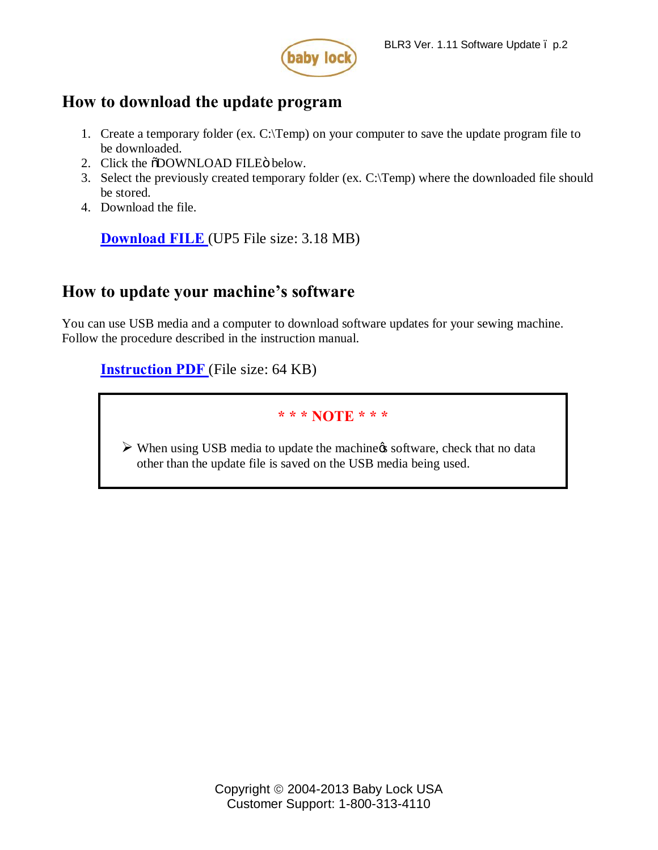

### **How to download the update program**

- 1. Create a temporary folder (ex. C:\Temp) on your computer to save the update program file to be downloaded.
- 2. Click the  $\delta$ DOWNLOAD FILE $\ddot{o}$  below.
- 3. Select the previously created temporary folder (ex. C:\Temp) where the downloaded file should be stored.
- 4. Download the file.

**[Download FILE](http://media.babylock.com/updates/fushctn111a.up5)** (UP5 File size: 3.18 MB)

## **How to update your machine's software**

You can use USB media and a computer to download software updates for your sewing machine. Follow the procedure described in the instruction manual.

**[Instruction PDF](http://www.babylock.com/ftp/whitepapers/BLR3_Instructions.pdf)** (File size: 64 KB)

### **\* \* \* NOTE \* \* \***

 $\triangleright$  When using USB media to update the machiness software, check that no data other than the update file is saved on the USB media being used.